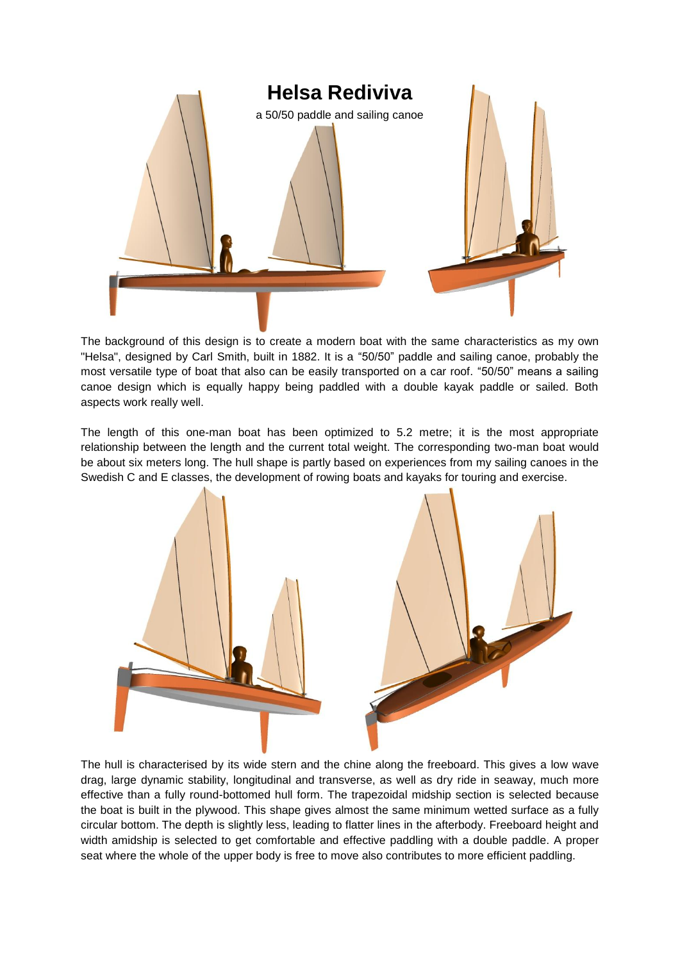

The background of this design is to create a modern boat with the same characteristics as my own "Helsa", designed by Carl Smith, built in 1882. It is a "50/50" paddle and sailing canoe, probably the most versatile type of boat that also can be easily transported on a car roof. "50/50" means a sailing canoe design which is equally happy being paddled with a double kayak paddle or sailed. Both aspects work really well.

The length of this one-man boat has been optimized to 5.2 metre; it is the most appropriate relationship between the length and the current total weight. The corresponding two-man boat would be about six meters long. The hull shape is partly based on experiences from my sailing canoes in the Swedish C and E classes, the development of rowing boats and kayaks for touring and exercise.



The hull is characterised by its wide stern and the chine along the freeboard. This gives a low wave drag, large dynamic stability, longitudinal and transverse, as well as dry ride in seaway, much more effective than a fully round-bottomed hull form. The trapezoidal midship section is selected because the boat is built in the plywood. This shape gives almost the same minimum wetted surface as a fully circular bottom. The depth is slightly less, leading to flatter lines in the afterbody. Freeboard height and width amidship is selected to get comfortable and effective paddling with a double paddle. A proper seat where the whole of the upper body is free to move also contributes to more efficient paddling.